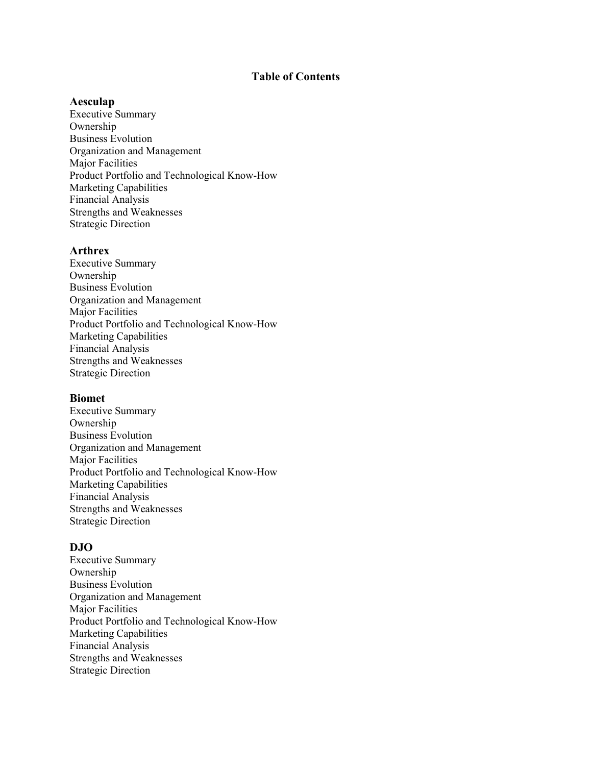# **Table of Contents**

### **Aesculap**

Executive Summary Ownership Business Evolution Organization and Management Major Facilities Product Portfolio and Technological Know-How Marketing Capabilities Financial Analysis Strengths and Weaknesses Strategic Direction

## **Arthrex**

Executive Summary Ownership Business Evolution Organization and Management Major Facilities Product Portfolio and Technological Know-How Marketing Capabilities Financial Analysis Strengths and Weaknesses Strategic Direction

#### **Biomet**

Executive Summary Ownership Business Evolution Organization and Management Major Facilities Product Portfolio and Technological Know-How Marketing Capabilities Financial Analysis Strengths and Weaknesses Strategic Direction

### **DJO**

Executive Summary Ownership Business Evolution Organization and Management Major Facilities Product Portfolio and Technological Know-How Marketing Capabilities Financial Analysis Strengths and Weaknesses Strategic Direction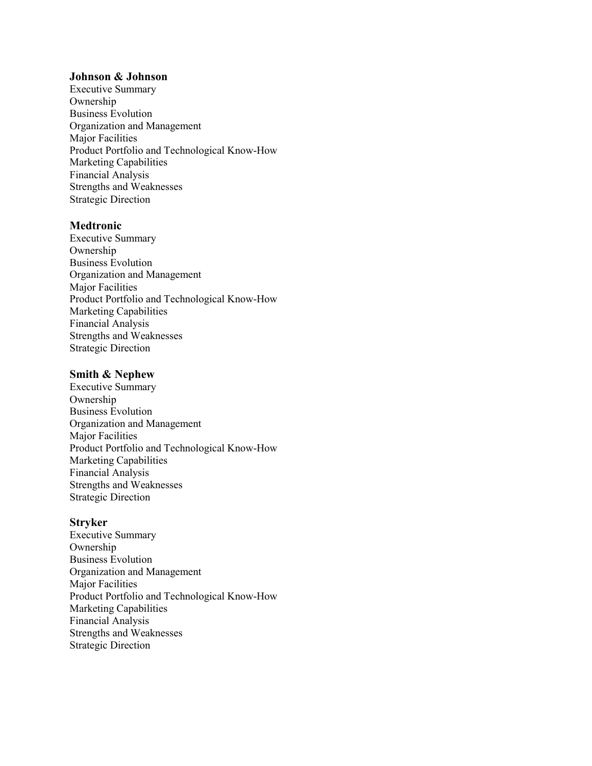### **Johnson & Johnson**

Executive Summary Ownership Business Evolution Organization and Management Major Facilities Product Portfolio and Technological Know-How Marketing Capabilities Financial Analysis Strengths and Weaknesses Strategic Direction

## **Medtronic**

Executive Summary Ownership Business Evolution Organization and Management Major Facilities Product Portfolio and Technological Know-How Marketing Capabilities Financial Analysis Strengths and Weaknesses Strategic Direction

### **Smith & Nephew**

Executive Summary Ownership Business Evolution Organization and Management Major Facilities Product Portfolio and Technological Know-How Marketing Capabilities Financial Analysis Strengths and Weaknesses Strategic Direction

## **Stryker**

Executive Summary Ownership Business Evolution Organization and Management Major Facilities Product Portfolio and Technological Know-How Marketing Capabilities Financial Analysis Strengths and Weaknesses Strategic Direction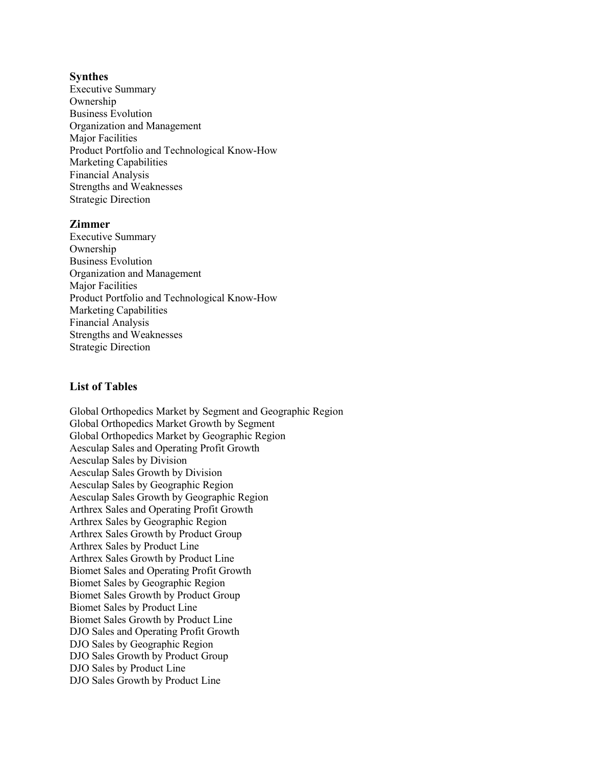## **Synthes**

Executive Summary Ownership Business Evolution Organization and Management Major Facilities Product Portfolio and Technological Know-How Marketing Capabilities Financial Analysis Strengths and Weaknesses Strategic Direction

## **Zimmer**

Executive Summary Ownership Business Evolution Organization and Management Major Facilities Product Portfolio and Technological Know-How Marketing Capabilities Financial Analysis Strengths and Weaknesses Strategic Direction

## **List of Tables**

Global Orthopedics Market by Segment and Geographic Region Global Orthopedics Market Growth by Segment Global Orthopedics Market by Geographic Region Aesculap Sales and Operating Profit Growth Aesculap Sales by Division Aesculap Sales Growth by Division Aesculap Sales by Geographic Region Aesculap Sales Growth by Geographic Region Arthrex Sales and Operating Profit Growth Arthrex Sales by Geographic Region Arthrex Sales Growth by Product Group Arthrex Sales by Product Line Arthrex Sales Growth by Product Line Biomet Sales and Operating Profit Growth Biomet Sales by Geographic Region Biomet Sales Growth by Product Group Biomet Sales by Product Line Biomet Sales Growth by Product Line DJO Sales and Operating Profit Growth DJO Sales by Geographic Region DJO Sales Growth by Product Group DJO Sales by Product Line DJO Sales Growth by Product Line